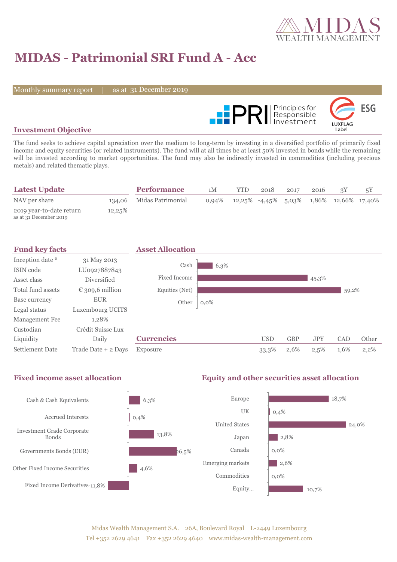

# **MIDAS - Patrimonial SRI Fund A - Acc**

Monthly summary report

31 December 2019



#### **Investment Objective**

The fund seeks to achieve capital apreciation over the medium to long-term by investing in a diversified portfolio of primarily fixed income and equity securities (or related instruments). The fund will at all times be at least 50% invested in bonds while the remaining will be invested according to market opportunities. The fund may also be indirectly invested in commodities (including precious metals) and related thematic plays.

| <b>Latest Update</b>                               |        | <b>Performance</b>       | 1M       | YTD | 2018 | 2017 | 2016 |                                            |  |
|----------------------------------------------------|--------|--------------------------|----------|-----|------|------|------|--------------------------------------------|--|
| NAV per share                                      |        | 134,06 Midas Patrimonial | $0.94\%$ |     |      |      |      | $12,25\%$ -4,45% 5,03% 1,86% 12,66% 17,40% |  |
| 2019 year-to-date return<br>as at 31 December 2019 | 12,25% |                          |          |     |      |      |      |                                            |  |

| <b>Fund key facts</b> |                     | <b>Asset Allocation</b> |         |            |            |            |            |         |
|-----------------------|---------------------|-------------------------|---------|------------|------------|------------|------------|---------|
| Inception date *      | 31 May 2013         |                         |         |            |            |            |            |         |
| ISIN code             | LU0927887843        | Cash                    | 6,3%    |            |            |            |            |         |
| Asset class           | Diversified         | <b>Fixed Income</b>     |         |            |            | 45,3%      |            |         |
| Total fund assets     | € 309,6 million     | Equities (Net)          |         |            |            |            | 59,2%      |         |
| Base currency         | <b>EUR</b>          | Other                   | $0,0\%$ |            |            |            |            |         |
| Legal status          | Luxembourg UCITS    |                         |         |            |            |            |            |         |
| Management Fee        | 1,28%               |                         |         |            |            |            |            |         |
| Custodian             | Crédit Suisse Lux   |                         |         |            |            |            |            |         |
| Liquidity             | Daily               | <b>Currencies</b>       |         | <b>USD</b> | <b>GBP</b> | <b>JPY</b> | <b>CAD</b> | Other   |
| Settlement Date       | Trade Date + 2 Days | Exposure                |         | 33,3%      | 2,6%       | 2,5%       | 1,6%       | $2,2\%$ |

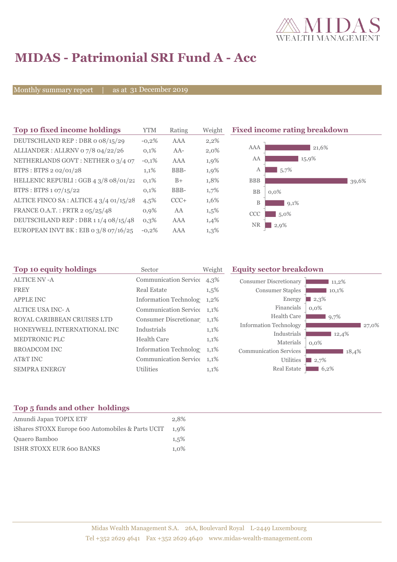

# **MIDAS - Patrimonial SRI Fund A - Acc**

Monthly summary report

as at 31 December 2019

| Top 10 fixed income holdings            | <b>YTM</b> | Rating | Weigh   |
|-----------------------------------------|------------|--------|---------|
| DEUTSCHLAND REP: DBR o 08/15/29         | $-0.2%$    | AAA    | 2,2%    |
| ALLIANDER: ALLRNV 07/8 04/22/26         | 0.1%       | $AA-$  | $2,0\%$ |
| NETHERLANDS GOVT: NETHER 0 3/4 07       | $-0.1%$    | AAA    | 1,9%    |
| BTPS: BTPS 2 02/01/28                   | 1,1%       | BBB-   | 1,9%    |
| HELLENIC REPUBLI : GGB 4 3/8 08/01/22   | 0,1%       | $B+$   | 1,8%    |
| BTPS: BTPS 1 07/15/22                   | 0,1%       | BBB-   | 1,7%    |
| ALTICE FINCO SA : ALTICE 4 3/4 01/15/28 | 4,5%       | $CCC+$ | 1,6%    |
| FRANCE O.A.T.: FRTR 2 05/25/48          | 0.9%       | AA     | 1,5%    |
| DEUTSCHLAND REP : DBR 1 1/4 08/15/48    | $0.3\%$    | AAA    | 1,4%    |
| EUROPEAN INVT BK : EIB o 3/8 07/16/25   | $-0.2%$    | AAA    | 1,3%    |

**The 10 fixed income rating breakdown** 



| Top 10 equity holdings      | Sector                       | <b>Equity sector breakdown</b><br>Weight |                               |         |
|-----------------------------|------------------------------|------------------------------------------|-------------------------------|---------|
| <b>ALTICE NV-A</b>          | <b>Communication Service</b> | $4,3\%$                                  | <b>Consumer Discretionary</b> | 11,2%   |
| <b>FREY</b>                 | <b>Real Estate</b>           | $1,5\%$                                  | <b>Consumer Staples</b>       | 10,1%   |
| <b>APPLE INC</b>            | <b>Information Technolog</b> | 1,2%                                     | Energy                        | 2,3%    |
| <b>ALTICE USA INC-A</b>     | Communication Service 1,1%   |                                          | Financials                    | $0.0\%$ |
| ROYAL CARIBBEAN CRUISES LTD | Consumer Discretionar 1,1%   |                                          | <b>Health Care</b>            | 9,7%    |
| HONEYWELL INTERNATIONAL INC | Industrials                  | 1,1%                                     | <b>Information Technology</b> | 27,0%   |
| MEDTRONIC PLC               | <b>Health Care</b>           | 1,1%                                     | Industrials                   | 12,4%   |
|                             |                              |                                          | Materials                     | $0.0\%$ |
| <b>BROADCOM INC</b>         | Information Technolog        | $1,1\%$                                  | <b>Communication Services</b> | 18,4%   |
| AT&T INC                    | <b>Communication Service</b> | 1,1%                                     | <b>Utilities</b>              | 12,7%   |
| <b>SEMPRA ENERGY</b>        | <b>Utilities</b>             | 1,1%                                     | Real Estate                   | 6,2%    |
|                             |                              |                                          |                               |         |

### **Top 5 funds and other holdings**

| Amundi Japan TOPIX ETF                            | 2,8% |
|---------------------------------------------------|------|
| iShares STOXX Europe 600 Automobiles & Parts UCIT | 1.9% |
| Quaero Bamboo                                     | 1.5% |
| <b>ISHR STOXX EUR 600 BANKS</b>                   | 1.0% |